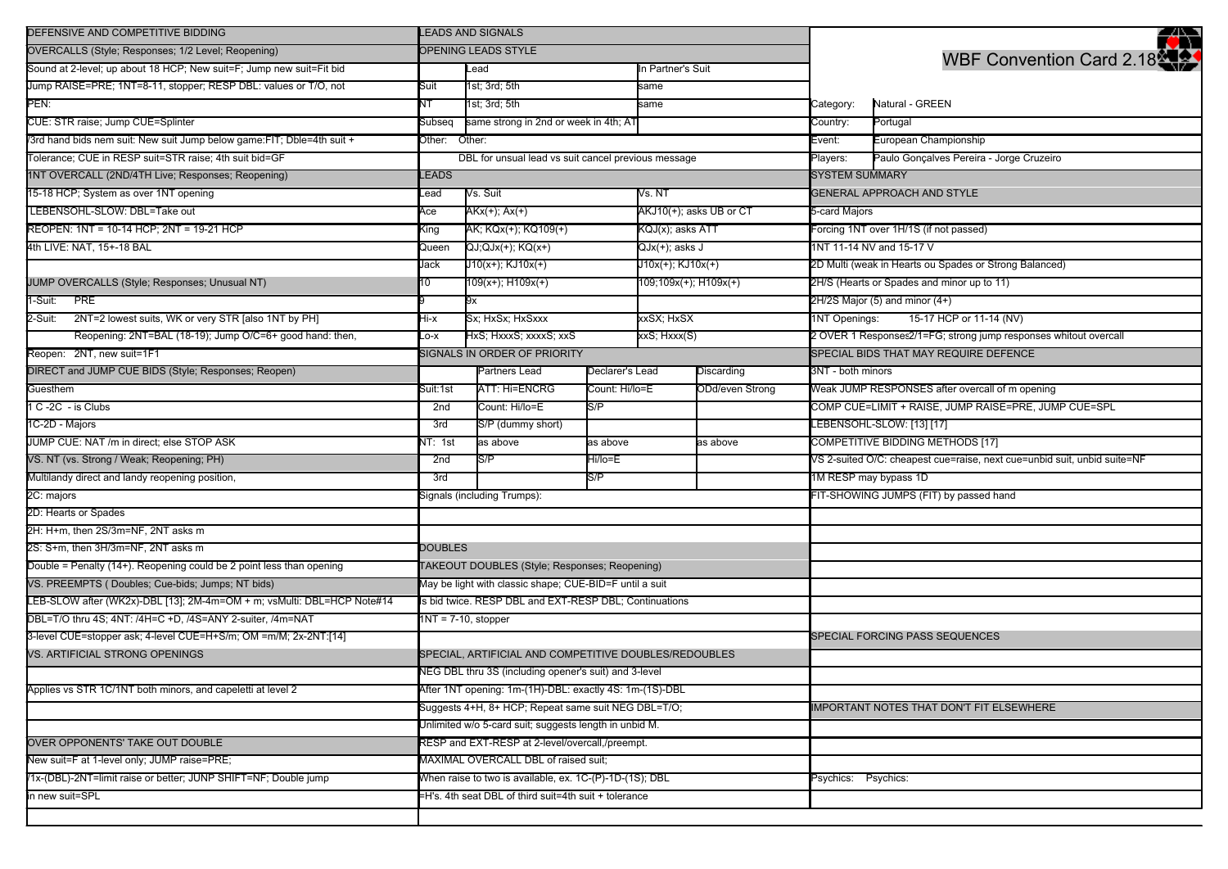| DEFENSIVE AND COMPETITIVE BIDDING                                      | <b>LEADS AND SIGNALS</b>                                                                                       |                                                         |                       |                         |                           |                                                                          | ₩                                                    |  |
|------------------------------------------------------------------------|----------------------------------------------------------------------------------------------------------------|---------------------------------------------------------|-----------------------|-------------------------|---------------------------|--------------------------------------------------------------------------|------------------------------------------------------|--|
| OVERCALLS (Style; Responses; 1/2 Level; Reopening)                     |                                                                                                                | OPENING LEADS STYLE                                     |                       |                         |                           |                                                                          | WBF Convention Card 2.18                             |  |
| Sound at 2-level; up about 18 HCP; New suit=F; Jump new suit=Fit bid   |                                                                                                                | Lead                                                    |                       | n Partner's Suit        |                           |                                                                          |                                                      |  |
| Jump RAISE=PRE; 1NT=8-11, stopper; RESP DBL: values or T/O, not        | Suit                                                                                                           | 1st; 3rd; 5th                                           |                       | same                    |                           |                                                                          |                                                      |  |
| PEN:                                                                   | ΝT                                                                                                             | 1st; 3rd; 5th                                           |                       | same                    |                           | Category:                                                                | Natural - GREEN                                      |  |
| CUE: STR raise; Jump CUE=Splinter                                      | Subseq                                                                                                         | same strong in 2nd or week in 4th; AT                   |                       |                         |                           | Country:                                                                 | Portugal                                             |  |
| /3rd hand bids nem suit: New suit Jump below game:FIT; Dble=4th suit + | Other:<br>Other:                                                                                               |                                                         |                       |                         |                           | Event:                                                                   | European Championship                                |  |
| Tolerance; CUE in RESP suit=STR raise; 4th suit bid=GF                 | DBL for unsual lead vs suit cancel previous message                                                            |                                                         |                       |                         |                           |                                                                          | Paulo Gonçalves Pereira - Jorge Cruzeiro             |  |
| 1NT OVERCALL (2ND/4TH Live; Responses; Reopening)                      | LEADS                                                                                                          |                                                         |                       |                         |                           | <b>SYSTEM SUMMARY</b>                                                    |                                                      |  |
| 15-18 HCP; System as over 1NT opening                                  | _ead                                                                                                           | Vs. Suit<br>Vs. NT                                      |                       |                         |                           | <b>GENERAL APPROACH AND STYLE</b>                                        |                                                      |  |
| LEBENSOHL-SLOW: DBL=Take out                                           | Ace                                                                                                            | $AKx(+); Ax(+)$                                         |                       | AKJ10(+); asks UB or CT |                           | 5-card Majors                                                            |                                                      |  |
| REOPEN: 1NT = 10-14 HCP; 2NT = 19-21 HCP                               | King                                                                                                           | AK; KQx(+); KQ109(+)                                    |                       | KQJ(x); asks ATT        |                           | Forcing 1NT over 1H/1S (if not passed)                                   |                                                      |  |
| 4th LIVE: NAT, 15+-18 BAL                                              | Queen                                                                                                          | QJ;QJx(+); KQ(x+)<br>QJx(+); asks J                     |                       |                         | 1NT 11-14 NV and 15-17 V  |                                                                          |                                                      |  |
|                                                                        | Jack                                                                                                           | J10(x+); KJ10x(+)                                       |                       | $J10x(+)$ ; $KJ10x(+)$  |                           | 2D Multi (weak in Hearts ou Spades or Strong Balanced)                   |                                                      |  |
| JUMP OVERCALLS (Style; Responses; Unusual NT)                          | 10                                                                                                             | $109(x+); H109x(+)$                                     | 109;109x(+); H109x(+) |                         |                           | 2H/S (Hearts or Spades and minor up to 11)                               |                                                      |  |
| 1-Suit: PRE                                                            |                                                                                                                | 9x                                                      |                       |                         |                           | 2H/2S Major (5) and minor (4+)                                           |                                                      |  |
| 2NT=2 lowest suits, WK or very STR [also 1NT by PH]<br>2-Suit:         | Hi-x                                                                                                           | Sx; HxSx; HxSxxx                                        |                       | xxSX; HxSX              |                           |                                                                          | 15-17 HCP or 11-14 (NV)<br>1NT Openings:             |  |
| Reopening: 2NT=BAL (18-19); Jump O/C=6+ good hand: then,               | Lo-x                                                                                                           | HxS; HxxxS; xxxxS; xxS                                  |                       | xxS; Hxxx(S)            |                           | 2 OVER 1 Responses2/1=FG; strong jump responses whitout overcall         |                                                      |  |
| Reopen: 2NT, new suit=1F1                                              |                                                                                                                | SIGNALS IN ORDER OF PRIORITY                            |                       |                         |                           | SPECIAL BIDS THAT MAY REQUIRE DEFENCE                                    |                                                      |  |
| DIRECT and JUMP CUE BIDS (Style; Responses; Reopen)                    |                                                                                                                | Partners Lead<br>Declarer's Lead<br>Discarding          |                       |                         | 3NT - both minors         |                                                                          |                                                      |  |
| Guesthem                                                               | Suit:1st                                                                                                       | <b>ATT: Hi=ENCRG</b>                                    | Count: Hi/lo=E        | ODd/even Strong         |                           |                                                                          | Weak JUMP RESPONSES after overcall of m opening      |  |
| 1 C-2C - is Clubs                                                      | 2nd                                                                                                            | Count: Hi/lo=E                                          | S/P                   |                         |                           |                                                                          | COMP CUE=LIMIT + RAISE, JUMP RAISE=PRE, JUMP CUE=SPL |  |
| 1C-2D - Majors                                                         | 3rd                                                                                                            | S/P (dummy short)                                       |                       |                         | LEBENSOHL-SLOW: [13] [17] |                                                                          |                                                      |  |
| JUMP CUE: NAT /m in direct; else STOP ASK                              | NT: 1st                                                                                                        | as above                                                | as above              |                         | as above                  | COMPETITIVE BIDDING METHODS [17]                                         |                                                      |  |
| VS. NT (vs. Strong / Weak; Reopening; PH)                              | 2nd                                                                                                            | S/P                                                     | Hi/lo=E               |                         |                           | VS 2-suited O/C: cheapest cue=raise, next cue=unbid suit, unbid suite=NF |                                                      |  |
| Multilandy direct and landy reopening position,                        | 3rd                                                                                                            | S/P                                                     |                       | 1M RESP may bypass 1D   |                           |                                                                          |                                                      |  |
| 2C: majors                                                             |                                                                                                                | Signals (including Trumps):                             |                       |                         |                           |                                                                          | FIT-SHOWING JUMPS (FIT) by passed hand               |  |
| 2D: Hearts or Spades                                                   |                                                                                                                |                                                         |                       |                         |                           |                                                                          |                                                      |  |
| 2H: H+m, then 2S/3m=NF, 2NT asks m                                     |                                                                                                                |                                                         |                       |                         |                           |                                                                          |                                                      |  |
| 2S: S+m, then 3H/3m=NF, 2NT asks m                                     | <b>DOUBLES</b>                                                                                                 |                                                         |                       |                         |                           |                                                                          |                                                      |  |
| Double = Penalty (14+). Reopening could be 2 point less than opening   |                                                                                                                | TAKEOUT DOUBLES (Style; Responses; Reopening)           |                       |                         |                           |                                                                          |                                                      |  |
| VS. PREEMPTS (Doubles; Cue-bids; Jumps; NT bids)                       | May be light with classic shape; CUE-BID=F until a suit                                                        |                                                         |                       |                         |                           |                                                                          |                                                      |  |
| LEB-SLOW after (WK2x)-DBL [13]; 2M-4m=OM + m; vsMulti: DBL=HCP Note#14 | Is bid twice. RESP DBL and EXT-RESP DBL; Continuations                                                         |                                                         |                       |                         |                           |                                                                          |                                                      |  |
| DBL=T/O thru 4S; 4NT: /4H=C +D, /4S=ANY 2-suiter, /4m=NAT              | $1NT = 7-10$ , stopper                                                                                         |                                                         |                       |                         |                           |                                                                          |                                                      |  |
| 3-level CUE=stopper ask; 4-level CUE=H+S/m; OM =m/M; 2x-2NT:[14]       |                                                                                                                |                                                         |                       |                         |                           |                                                                          | SPECIAL FORCING PASS SEQUENCES                       |  |
| VS. ARTIFICIAL STRONG OPENINGS                                         | SPECIAL, ARTIFICIAL AND COMPETITIVE DOUBLES/REDOUBLES                                                          |                                                         |                       |                         |                           |                                                                          |                                                      |  |
|                                                                        | NEG DBL thru 3S (including opener's suit) and 3-level                                                          |                                                         |                       |                         |                           |                                                                          |                                                      |  |
| Applies vs STR 1C/1NT both minors, and capeletti at level 2            | After 1NT opening: 1m-(1H)-DBL: exactly 4S: 1m-(1S)-DBL<br>Suggests 4+H, 8+ HCP; Repeat same suit NEG DBL=T/O; |                                                         |                       |                         |                           |                                                                          |                                                      |  |
|                                                                        |                                                                                                                |                                                         |                       |                         |                           |                                                                          | IMPORTANT NOTES THAT DON'T FIT ELSEWHERE             |  |
|                                                                        | Unlimited w/o 5-card suit; suggests length in unbid M.                                                         |                                                         |                       |                         |                           |                                                                          |                                                      |  |
| OVER OPPONENTS' TAKE OUT DOUBLE                                        | RESP and EXT-RESP at 2-level/overcall,/preempt.                                                                |                                                         |                       |                         |                           |                                                                          |                                                      |  |
| New suit=F at 1-level only; JUMP raise=PRE;                            | MAXIMAL OVERCALL DBL of raised suit;                                                                           |                                                         |                       |                         |                           |                                                                          |                                                      |  |
| /1x-(DBL)-2NT=limit raise or better; JUNP SHIFT=NF; Double jump        |                                                                                                                | When raise to two is available, ex. 1C-(P)-1D-(1S); DBL |                       |                         |                           | Psychics: Psychics:                                                      |                                                      |  |
| in new suit=SPL                                                        |                                                                                                                | =H's. 4th seat DBL of third suit=4th suit + tolerance   |                       |                         |                           |                                                                          |                                                      |  |
|                                                                        |                                                                                                                |                                                         |                       |                         |                           |                                                                          |                                                      |  |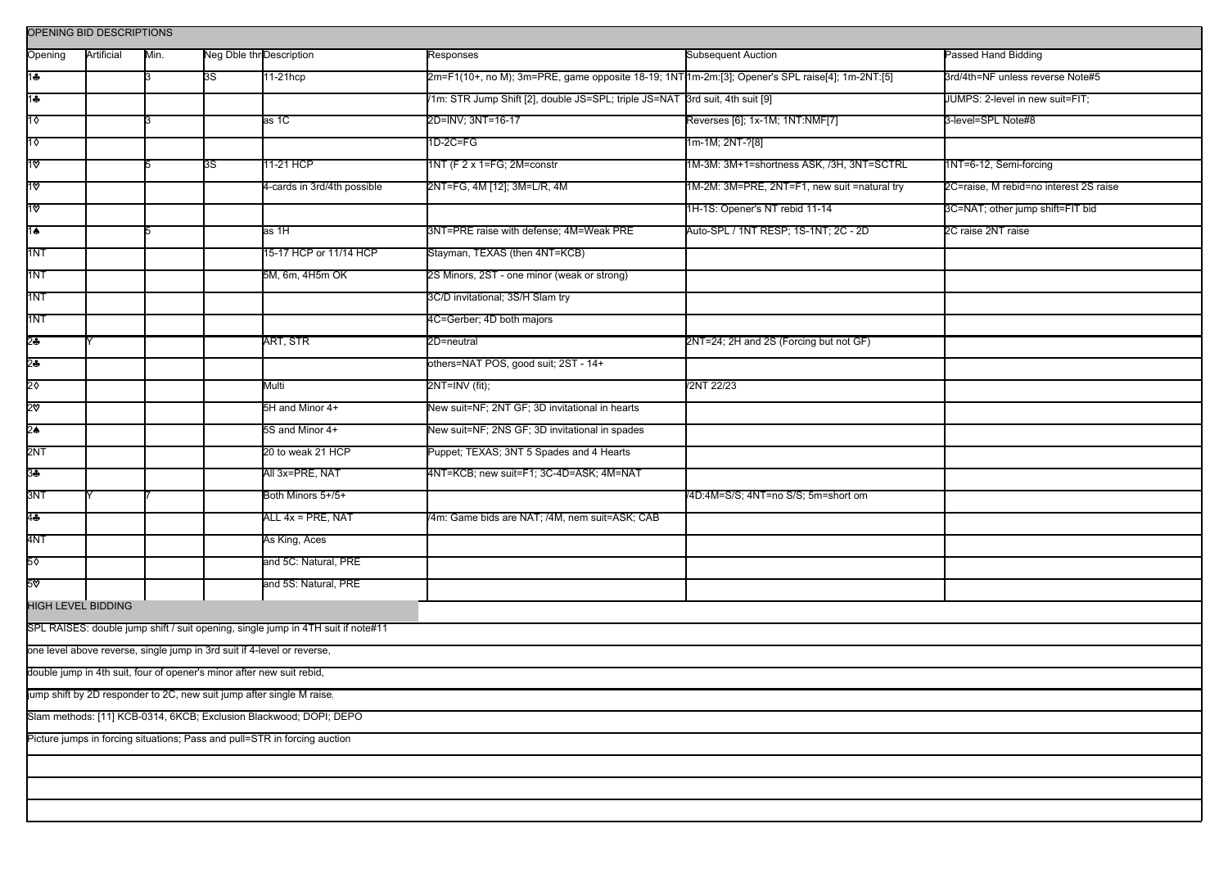| OPENING BID DESCRIPTIONS                                                         |            |      |                          |                             |                                                                                                 |                                              |                                        |  |  |
|----------------------------------------------------------------------------------|------------|------|--------------------------|-----------------------------|-------------------------------------------------------------------------------------------------|----------------------------------------------|----------------------------------------|--|--|
| Opening                                                                          | Artificial | Min. | Neg Dble thr Description |                             | <b>Responses</b>                                                                                | <b>Subsequent Auction</b>                    | Passed Hand Bidding                    |  |  |
| 1♣                                                                               |            |      | 3S                       | 11-21hcp                    | 2m=F1(10+, no M); 3m=PRE, game opposite 18-19; 1NT11m-2m:[3]; Opener's SPL raise[4]; 1m-2NT:[5] |                                              | 3rd/4th=NF unless reverse Note#5       |  |  |
| 14                                                                               |            |      |                          |                             | /1m: STR Jump Shift [2], double JS=SPL; triple JS=NAT 3rd suit, 4th suit [9]                    |                                              | JUMPS: 2-level in new suit=FIT;        |  |  |
| $1\diamond$                                                                      |            |      |                          | as 1C                       | 2D=INV; 3NT=16-17                                                                               | Reverses [6]; 1x-1M; 1NT:NMF[7]              | 3-level=SPL Note#8                     |  |  |
| 1♦                                                                               |            |      |                          |                             | $1D-2C = FG$                                                                                    | 1m-1M; 2NT-?[8]                              |                                        |  |  |
| ∣1ত                                                                              |            |      | 3S                       | 11-21 HCP                   | 1NT (F 2 x 1=FG; 2M=constr                                                                      | 1M-3M: 3M+1=shortness ASK, /3H, 3NT=SCTRL    | 1NT=6-12, Semi-forcing                 |  |  |
| 1ত                                                                               |            |      |                          | 4-cards in 3rd/4th possible | 2NT=FG, 4M [12]; 3M=L/R, 4M                                                                     | 1M-2M: 3M=PRE, 2NT=F1, new suit =natural try | 2C=raise, M rebid=no interest 2S raise |  |  |
| $\overline{3}$                                                                   |            |      |                          |                             |                                                                                                 | 1H-1S: Opener's NT rebid 11-14               | 3C=NAT; other jump shift=FIT bid       |  |  |
| $1\spadesuit$                                                                    |            |      |                          | as 1H                       | 3NT=PRE raise with defense; 4M=Weak PRE                                                         | Auto-SPL / 1NT RESP; 1S-1NT; 2C - 2D         | 2C raise 2NT raise                     |  |  |
| 1NT                                                                              |            |      |                          | 15-17 HCP or 11/14 HCP      | Stayman, TEXAS (then 4NT=KCB)                                                                   |                                              |                                        |  |  |
| 1NT                                                                              |            |      |                          | 5M, 6m, 4H5m OK             | 2S Minors, 2ST - one minor (weak or strong)                                                     |                                              |                                        |  |  |
| 1NT                                                                              |            |      |                          |                             | 3C/D invitational; 3S/H Slam try                                                                |                                              |                                        |  |  |
| 1NT                                                                              |            |      |                          |                             | 4C=Gerber; 4D both majors                                                                       |                                              |                                        |  |  |
| 2♣                                                                               |            |      |                          | ART, STR                    | 2D=neutral                                                                                      | 2NT=24; 2H and 2S (Forcing but not GF)       |                                        |  |  |
| $2\clubsuit$                                                                     |            |      |                          |                             | others=NAT POS, good suit; 2ST - 14+                                                            |                                              |                                        |  |  |
| 2♦                                                                               |            |      |                          | Multi                       | 2NT=INV (fit);                                                                                  | /2NT 22/23                                   |                                        |  |  |
| 2ত                                                                               |            |      |                          | 5H and Minor 4+             | New suit=NF; 2NT GF; 3D invitational in hearts                                                  |                                              |                                        |  |  |
| 2 $\bullet$                                                                      |            |      |                          | 5S and Minor 4+             | New suit=NF; 2NS GF; 3D invitational in spades                                                  |                                              |                                        |  |  |
| 2NT                                                                              |            |      |                          | 20 to weak 21 HCP           | Puppet; TEXAS; 3NT 5 Spades and 4 Hearts                                                        |                                              |                                        |  |  |
| 3♣                                                                               |            |      |                          | All 3x=PRE, NAT             | 4NT=KCB; new suit=F1; 3C-4D=ASK; 4M=NAT                                                         |                                              |                                        |  |  |
| 3NT                                                                              |            |      |                          | Both Minors 5+/5+           |                                                                                                 | /4D:4M=S/S; 4NT=no S/S; 5m=short om          |                                        |  |  |
| $4\clubsuit$                                                                     |            |      |                          | ALL 4x = PRE, NAT           | 4m: Game bids are NAT; /4M, nem suit=ASK; CAB                                                   |                                              |                                        |  |  |
| 4NT                                                                              |            |      |                          | As King, Aces               |                                                                                                 |                                              |                                        |  |  |
| 5♦                                                                               |            |      |                          | and 5C: Natural, PRE        |                                                                                                 |                                              |                                        |  |  |
| $50^{\circ}$                                                                     |            |      |                          | and 5S: Natural, PRE        |                                                                                                 |                                              |                                        |  |  |
| <b>HIGH LEVEL BIDDING</b>                                                        |            |      |                          |                             |                                                                                                 |                                              |                                        |  |  |
| SPL RAISES: double jump shift / suit opening, single jump in 4TH suit if note#11 |            |      |                          |                             |                                                                                                 |                                              |                                        |  |  |
| one level above reverse, single jump in 3rd suit if 4-level or reverse,          |            |      |                          |                             |                                                                                                 |                                              |                                        |  |  |
| double jump in 4th suit, four of opener's minor after new suit rebid,            |            |      |                          |                             |                                                                                                 |                                              |                                        |  |  |
| jump shift by 2D responder to 2C, new suit jump after single M raise,            |            |      |                          |                             |                                                                                                 |                                              |                                        |  |  |
| Slam methods: [11] KCB-0314, 6KCB; Exclusion Blackwood; DOPI; DEPO               |            |      |                          |                             |                                                                                                 |                                              |                                        |  |  |
| Picture jumps in forcing situations; Pass and pull=STR in forcing auction        |            |      |                          |                             |                                                                                                 |                                              |                                        |  |  |
|                                                                                  |            |      |                          |                             |                                                                                                 |                                              |                                        |  |  |
|                                                                                  |            |      |                          |                             |                                                                                                 |                                              |                                        |  |  |
|                                                                                  |            |      |                          |                             |                                                                                                 |                                              |                                        |  |  |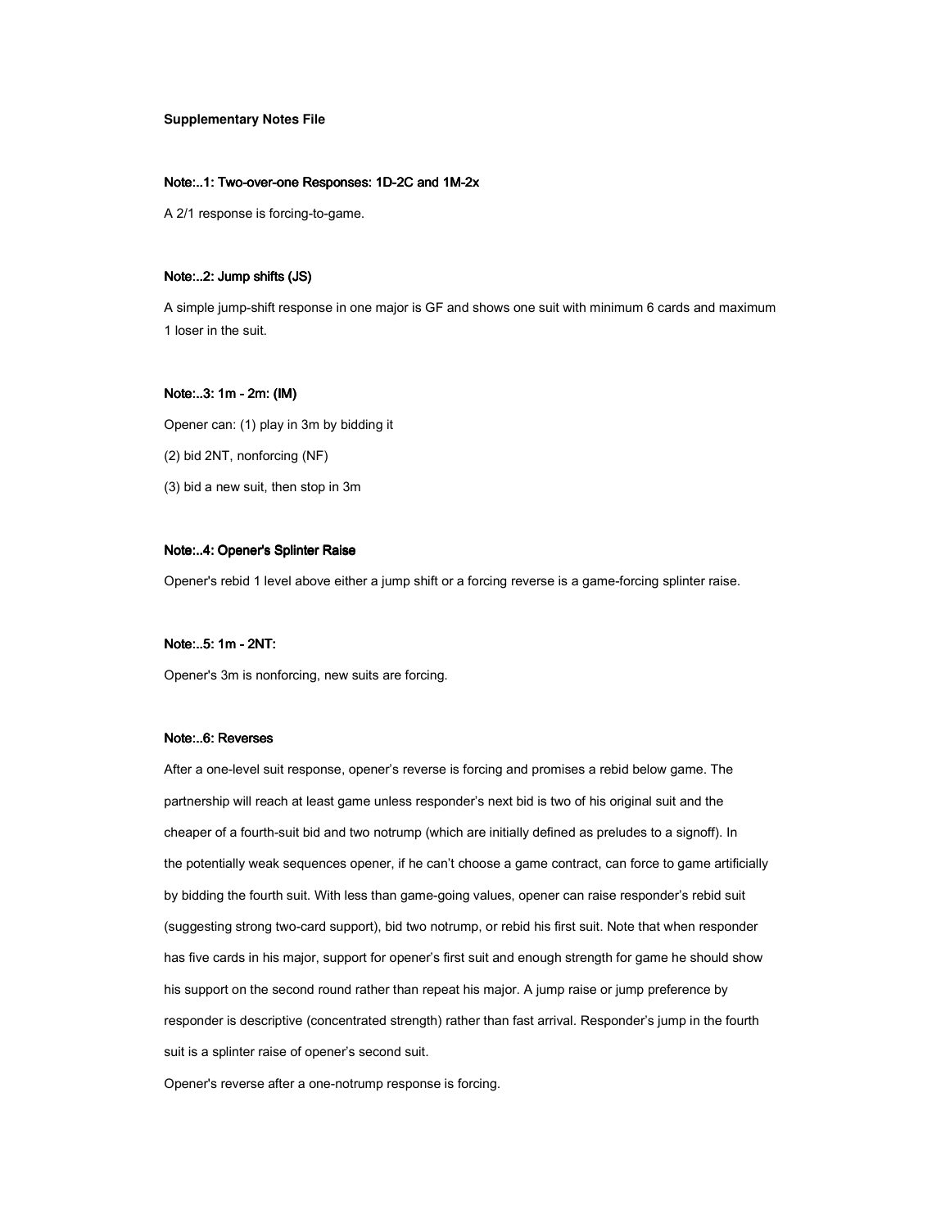## **Supplementary Notes File**

#### Note:..1: Two-over-one Responses: 1D-2C and 1M-2x

A 2/1 response is forcing-to-game.

#### Note:..2: Jump shifts (JS)

A simple jump-shift response in one major is GF and shows one suit with minimum 6 cards and maximum 1 loser in the suit.

# Note:..3: 1m - 2m: (IM)

Opener can: (1) play in 3m by bidding it (2) bid 2NT, nonforcing (NF) (3) bid a new suit, then stop in 3m

# Note:..4: Opener's Splinter Raise

Opener's rebid 1 level above either a jump shift or a forcing reverse is a game-forcing splinter raise.

# Note:..5: 1m - 2NT:

Opener's 3m is nonforcing, new suits are forcing.

# Note:..6: Reverses

After a one-level suit response, opener's reverse is forcing and promises a rebid below game. The partnership will reach at least game unless responder's next bid is two of his original suit and the cheaper of a fourth-suit bid and two notrump (which are initially defined as preludes to a signoff). In the potentially weak sequences opener, if he can't choose a game contract, can force to game artificially by bidding the fourth suit. With less than game-going values, opener can raise responder's rebid suit (suggesting strong two-card support), bid two notrump, or rebid his first suit. Note that when responder has five cards in his major, support for opener's first suit and enough strength for game he should show his support on the second round rather than repeat his major. A jump raise or jump preference by responder is descriptive (concentrated strength) rather than fast arrival. Responder's jump in the fourth suit is a splinter raise of opener's second suit.

Opener's reverse after a one-notrump response is forcing.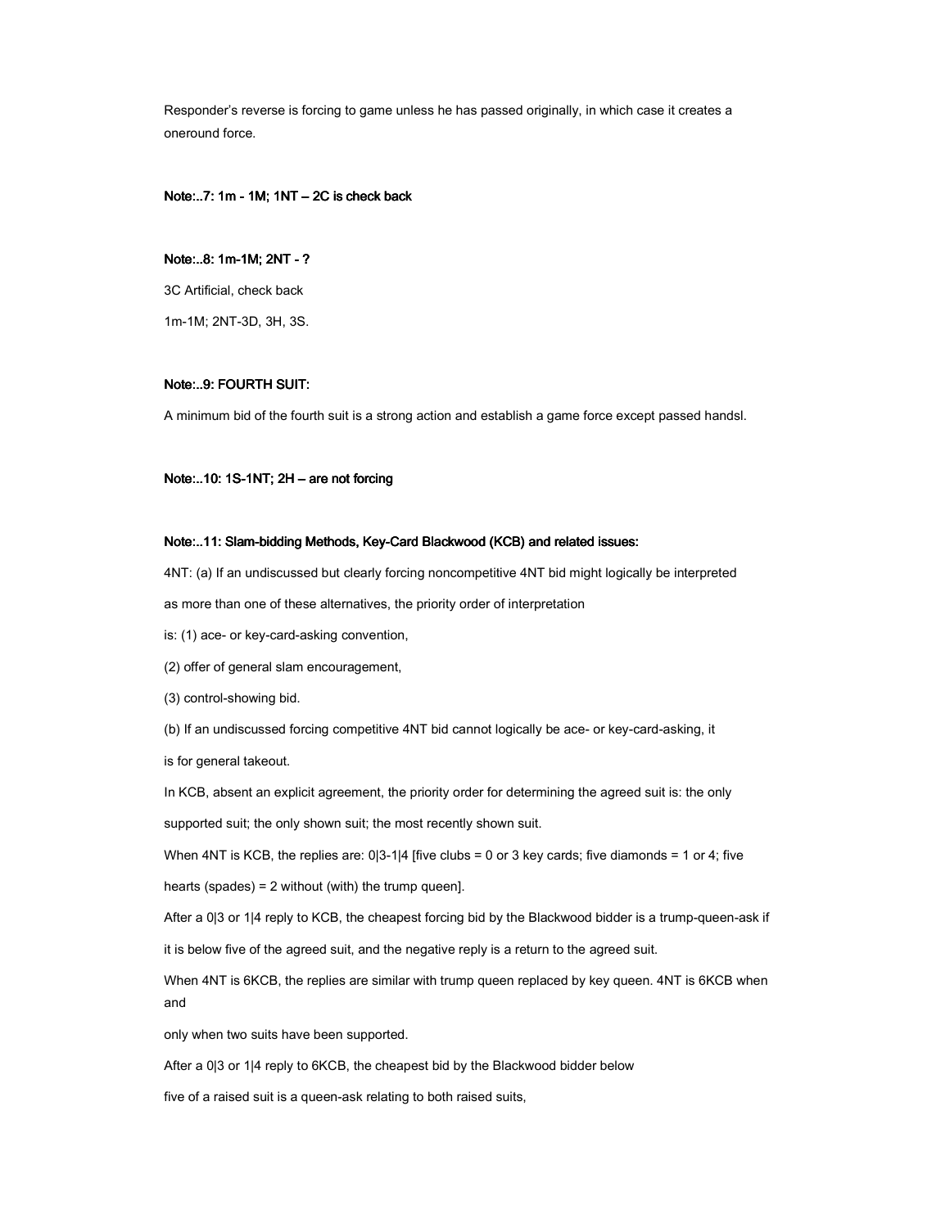Responder's reverse is forcing to game unless he has passed originally, in which case it creates a oneround force.

# Note:..7: 1m - 1M;  $1NT - 2C$  is check back

# Note:..8: 1m-1M; 2NT -?

3C Artificial, check back

1m-1M; 2NT-3D, 3H, 3S.

# Note:..9: FOURTH SUIT:

A minimum bid of the fourth suit is a strong action and establish a game force except passed handsl.

## Note:..10: 1S-1NT; 2H - are not forcing

### Note:..11: Slam-bidding Methods, Key-Card Blackwood (KCB) and related issues:

4NT: (a) If an undiscussed but clearly forcing noncompetitive 4NT bid might logically be interpreted

as more than one of these alternatives, the priority order of interpretation

is: (1) ace- or key-card-asking convention,

(2) offer of general slam encouragement,

(3) control-showing bid.

(b) If an undiscussed forcing competitive 4NT bid cannot logically be ace- or key-card-asking, it

is for general takeout.

In KCB, absent an explicit agreement, the priority order for determining the agreed suit is: the only

supported suit; the only shown suit; the most recently shown suit.

When  $4NT$  is KCB, the replies are:  $0|3-1|4$  [five clubs = 0 or 3 key cards; five diamonds = 1 or 4; five

hearts (spades) = 2 without (with) the trump queen].

After a 0|3 or 1|4 reply to KCB, the cheapest forcing bid by the Blackwood bidder is a trump-queen-ask if

it is below five of the agreed suit, and the negative reply is a return to the agreed suit.

When 4NT is 6KCB, the replies are similar with trump queen replaced by key queen. 4NT is 6KCB when and

only when two suits have been supported.

After a 0|3 or 1|4 reply to 6KCB, the cheapest bid by the Blackwood bidder below

five of a raised suit is a queen-ask relating to both raised suits,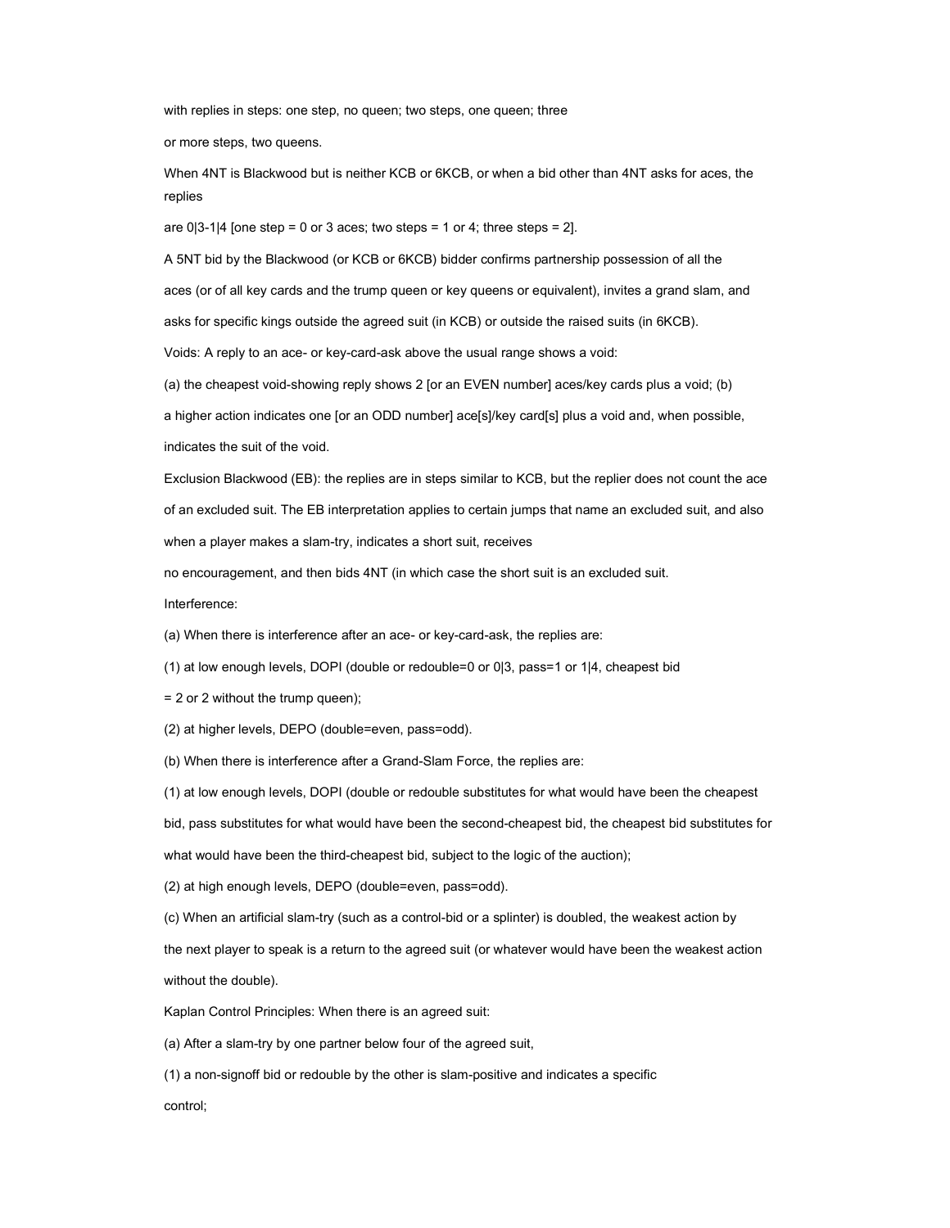with replies in steps: one step, no queen; two steps, one queen; three

or more steps, two queens.

When 4NT is Blackwood but is neither KCB or 6KCB, or when a bid other than 4NT asks for aces, the replies

are  $0|3-1|4$  [one step = 0 or 3 aces; two steps = 1 or 4; three steps = 2].

A 5NT bid by the Blackwood (or KCB or 6KCB) bidder confirms partnership possession of all the aces (or of all key cards and the trump queen or key queens or equivalent), invites a grand slam, and asks for specific kings outside the agreed suit (in KCB) or outside the raised suits (in 6KCB).

Voids: A reply to an ace- or key-card-ask above the usual range shows a void:

(a) the cheapest void-showing reply shows 2 [or an EVEN number] aces/key cards plus a void; (b)

a higher action indicates one [or an ODD number] ace[s]/key card[s] plus a void and, when possible,

indicates the suit of the void.

Exclusion Blackwood (EB): the replies are in steps similar to KCB, but the replier does not count the ace of an excluded suit. The EB interpretation applies to certain jumps that name an excluded suit, and also when a player makes a slam-try, indicates a short suit, receives

no encouragement, and then bids 4NT (in which case the short suit is an excluded suit.

Interference:

(a) When there is interference after an ace- or key-card-ask, the replies are:

(1) at low enough levels, DOPI (double or redouble=0 or 0|3, pass=1 or 1|4, cheapest bid

= 2 or 2 without the trump queen);

(2) at higher levels, DEPO (double=even, pass=odd).

(b) When there is interference after a Grand-Slam Force, the replies are:

(1) at low enough levels, DOPI (double or redouble substitutes for what would have been the cheapest

bid, pass substitutes for what would have been the second-cheapest bid, the cheapest bid substitutes for

what would have been the third-cheapest bid, subject to the logic of the auction);

(2) at high enough levels, DEPO (double=even, pass=odd).

(c) When an artificial slam-try (such as a control-bid or a splinter) is doubled, the weakest action by

the next player to speak is a return to the agreed suit (or whatever would have been the weakest action without the double).

Kaplan Control Principles: When there is an agreed suit:

(a) After a slam-try by one partner below four of the agreed suit,

(1) a non-signoff bid or redouble by the other is slam-positive and indicates a specific

control;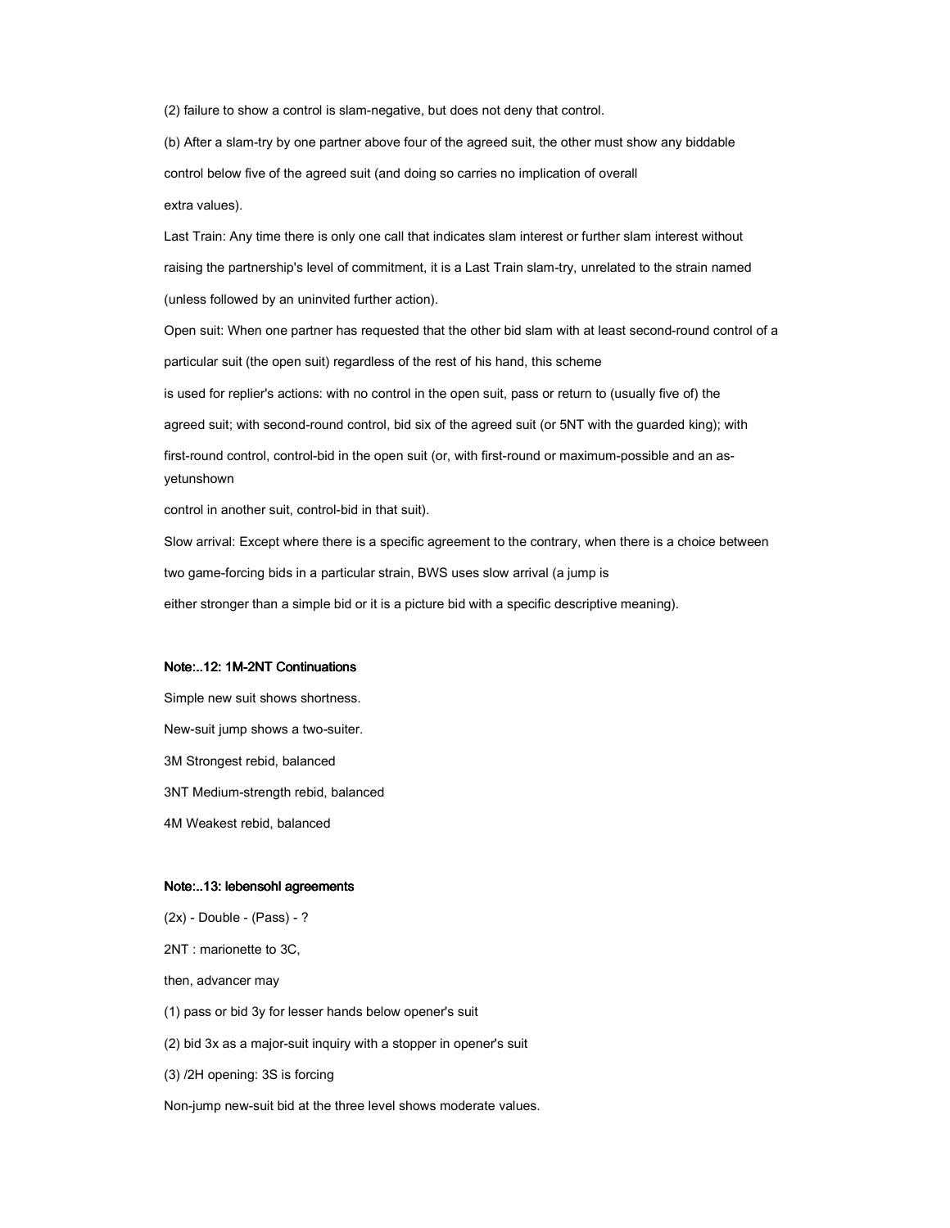(2) failure to show a control is slam-negative, but does not deny that control.

(b) After a slam-try by one partner above four of the agreed suit, the other must show any biddable control below five of the agreed suit (and doing so carries no implication of overall extra values).

Last Train: Any time there is only one call that indicates slam interest or further slam interest without raising the partnership's level of commitment, it is a Last Train slam-try, unrelated to the strain named (unless followed by an uninvited further action).

Open suit: When one partner has requested that the other bid slam with at least second-round control of a particular suit (the open suit) regardless of the rest of his hand, this scheme is used for replier's actions: with no control in the open suit, pass or return to (usually five of) the agreed suit; with second-round control, bid six of the agreed suit (or 5NT with the guarded king); with first-round control, control-bid in the open suit (or, with first-round or maximum-possible and an asyetunshown

control in another suit, control-bid in that suit).

Slow arrival: Except where there is a specific agreement to the contrary, when there is a choice between two game-forcing bids in a particular strain, BWS uses slow arrival (a jump is either stronger than a simple bid or it is a picture bid with a specific descriptive meaning).

#### Note:..12: 1M-2NT Continuations

Simple new suit shows shortness. New-suit jump shows a two-suiter. 3M Strongest rebid, balanced 3NT Medium-strength rebid, balanced 4M Weakest rebid, balanced

#### Note:..13: lebensohl agreements

(2x) - Double - (Pass) - ?

2NT : marionette to 3C,

then, advancer may

(1) pass or bid 3y for lesser hands below opener's suit

(2) bid 3x as a major-suit inquiry with a stopper in opener's suit

(3) /2H opening: 3S is forcing

Non-jump new-suit bid at the three level shows moderate values.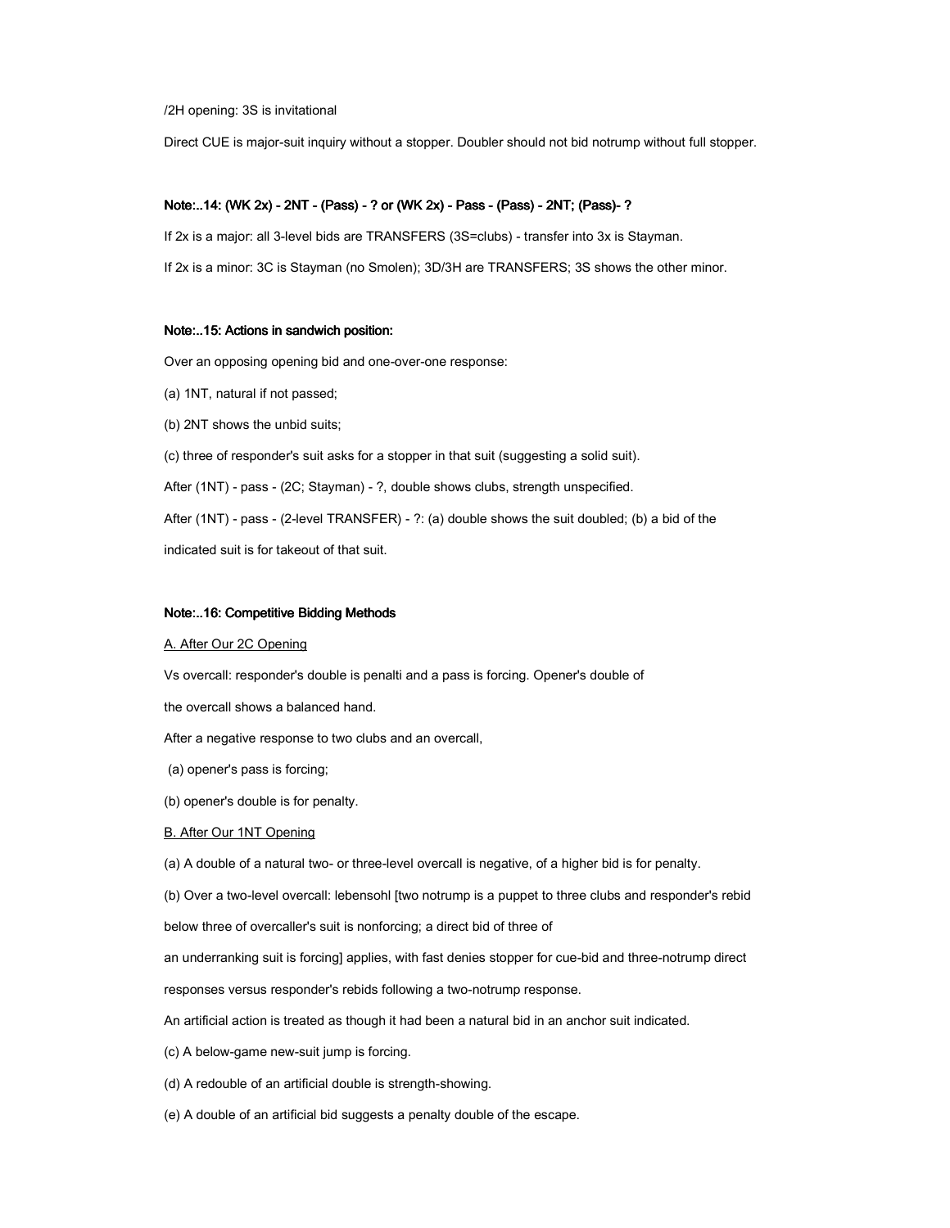/2H opening: 3S is invitational

Direct CUE is major-suit inquiry without a stopper. Doubler should not bid notrump without full stopper.

# Note:..14: (WK 2x) - 2NT - (Pass) - ? or (WK 2x) - Pass - (Pass) - 2NT; (Pass)-?

If 2x is a major: all 3-level bids are TRANSFERS (3S=clubs) - transfer into 3x is Stayman.

If 2x is a minor: 3C is Stayman (no Smolen); 3D/3H are TRANSFERS; 3S shows the other minor.

#### Note:..15: Actions in sandwich position:

Over an opposing opening bid and one-over-one response:

- (a) 1NT, natural if not passed;
- (b) 2NT shows the unbid suits;

(c) three of responder's suit asks for a stopper in that suit (suggesting a solid suit).

After (1NT) - pass - (2C; Stayman) - ?, double shows clubs, strength unspecified.

After (1NT) - pass - (2-level TRANSFER) - ?: (a) double shows the suit doubled; (b) a bid of the

indicated suit is for takeout of that suit.

#### Note:..16: Competitive Bidding Methods

#### A. After Our 2C Opening

Vs overcall: responder's double is penalti and a pass is forcing. Opener's double of

the overcall shows a balanced hand.

After a negative response to two clubs and an overcall,

- (a) opener's pass is forcing;
- (b) opener's double is for penalty.

#### B. After Our 1NT Opening

(a) A double of a natural two- or three-level overcall is negative, of a higher bid is for penalty.

(b) Over a two-level overcall: lebensohl [two notrump is a puppet to three clubs and responder's rebid

below three of overcaller's suit is nonforcing; a direct bid of three of

an underranking suit is forcing] applies, with fast denies stopper for cue-bid and three-notrump direct

responses versus responder's rebids following a two-notrump response.

An artificial action is treated as though it had been a natural bid in an anchor suit indicated.

(c) A below-game new-suit jump is forcing.

(d) A redouble of an artificial double is strength-showing.

(e) A double of an artificial bid suggests a penalty double of the escape.